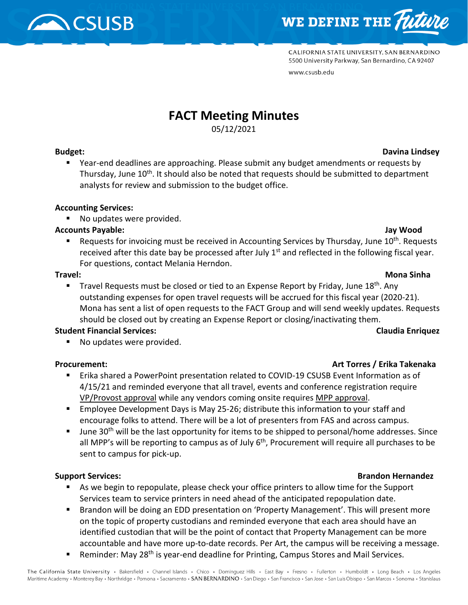



CALIFORNIA STATE UNIVERSITY, SAN BERNARDINO 5500 University Parkway, San Bernardino, CA 92407 www.csusb.edu

# **FACT Meeting Minutes**

05/12/2021

 Year-end deadlines are approaching. Please submit any budget amendments or requests by Thursday, June  $10^{th}$ . It should also be noted that requests should be submitted to department analysts for review and submission to the budget office.

## **Accounting Services:**

■ No updates were provided.

## **Accounts Payable: Jay Wood**

Requests for invoicing must be received in Accounting Services by Thursday, June 10<sup>th</sup>. Requests received after this date bay be processed after July  $1<sup>st</sup>$  and reflected in the following fiscal year. For questions, contact Melania Herndon.

**Travel Requests must be closed or tied to an Expense Report by Friday, June 18<sup>th</sup>. Any** outstanding expenses for open travel requests will be accrued for this fiscal year (2020-21). Mona has sent a list of open requests to the FACT Group and will send weekly updates. Requests should be closed out by creating an Expense Report or closing/inactivating them.

## **Student Financial Services: Claudia Enriquez**

No updates were provided.

- Erika shared a PowerPoint presentation related to COVID-19 CSUSB Event Information as of 4/15/21 and reminded everyone that all travel, events and conference registration require VP/Provost approval while any vendors coming onsite requires MPP approval.
- Employee Development Days is May 25-26; distribute this information to your staff and encourage folks to attend. There will be a lot of presenters from FAS and across campus.
- June 30<sup>th</sup> will be the last opportunity for items to be shipped to personal/home addresses. Since all MPP's will be reporting to campus as of July  $6<sup>th</sup>$ , Procurement will require all purchases to be sent to campus for pick-up.

## **Support Services: Brandon Hernandez**

- As we begin to repopulate, please check your office printers to allow time for the Support Services team to service printers in need ahead of the anticipated repopulation date.
- Brandon will be doing an EDD presentation on 'Property Management'. This will present more on the topic of property custodians and reminded everyone that each area should have an identified custodian that will be the point of contact that Property Management can be more accountable and have more up-to-date records. Per Art, the campus will be receiving a message.
- Reminder: May 28<sup>th</sup> is year-end deadline for Printing, Campus Stores and Mail Services.

## The California State University · Bakersfield · Channel Islands · Chico · Dominquez Hills · East Bay · Fresno · Fullerton · Humboldt · Long Beach · Los Angeles Maritime Academy • Monterey Bay • Northridge • Pomona • Sacramento • SAN BERNARDINO • San Diego • San Francisco • San Jose • San Luis Obispo • San Marcos • Sonoma • Stanislaus

## **Budget: Davina Lindsey**

## **Travel: Mona Sinha**

## **Procurement: Art Torres / Erika Takenaka**